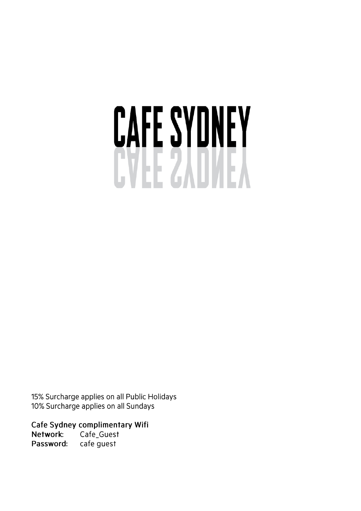# CAFE SYDNEY

15% Surcharge applies on all Public Holidays 10% Surcharge applies on all Sundays

Cafe Sydney complimentary Wifi Cafe\_Guest Network: cafe guest Password: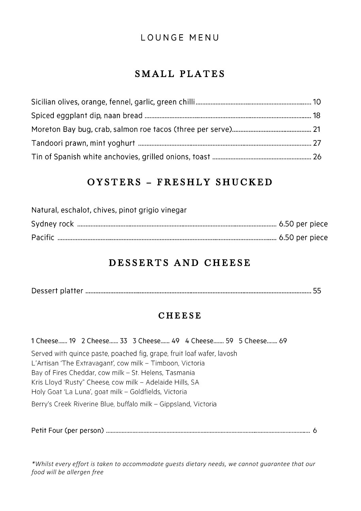#### **LOUNGE MENU**

# SMALL PLATES

# OYSTERS - FRESHLY SHUCKED

| Natural, eschalot, chives, pinot grigio vinegar |  |
|-------------------------------------------------|--|
|                                                 |  |
|                                                 |  |

# DESSERTS AND CHEESE

|--|--|--|--|

#### **CHEESE**

1 Cheese...... 19 2 Cheese...... 33 3 Cheese...... 49 4 Cheese....... 59 5 Cheese....... 69

Served with quince paste, poached fig, grape, fruit loaf wafer, lavosh L'Artisan 'The Extravagant', cow milk - Timboon, Victoria Bay of Fires Cheddar, cow milk - St. Helens, Tasmania Kris Lloyd 'Rusty" Cheese, cow milk - Adelaide Hills, SA Holy Goat 'La Luna', goat milk - Goldfields, Victoria

Berry's Creek Riverine Blue, buffalo milk - Gippsland, Victoria

*\*Whilst every effort is taken to accommodate guests dietary needs, we cannot guarantee that our food will be allergen free*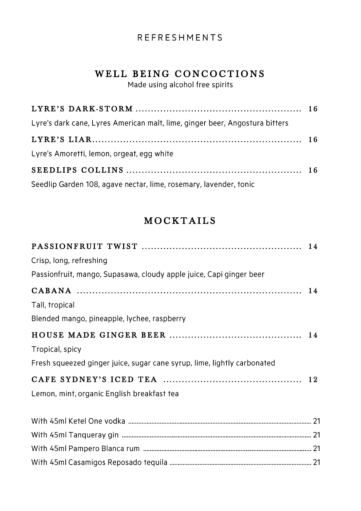#### **REFRESHMENTS**

# WELL BEING CONCOCTIONS

Made using alcohol free spirits

| Lyre's dark cane, Lyres American malt, lime, ginger beer, Angostura bitters |  |
|-----------------------------------------------------------------------------|--|
|                                                                             |  |
| Lyre's Amoretti, lemon, orgeat, egg white                                   |  |
|                                                                             |  |
| Seedlip Garden 108, agave nectar, lime, rosemary, lavender, tonic           |  |

# **MOCKTAILS**

| Crisp, long, refreshing                                                 |  |
|-------------------------------------------------------------------------|--|
| Passionfruit, mango, Supasawa, cloudy apple juice, Capi ginger beer     |  |
|                                                                         |  |
| Tall, tropical                                                          |  |
| Blended mango, pineapple, lychee, raspberry                             |  |
|                                                                         |  |
| Tropical, spicy                                                         |  |
| Fresh squeezed ginger juice, sugar cane syrup, lime, lightly carbonated |  |
|                                                                         |  |
| Lemon, mint, organic English breakfast tea                              |  |
|                                                                         |  |
|                                                                         |  |
|                                                                         |  |
|                                                                         |  |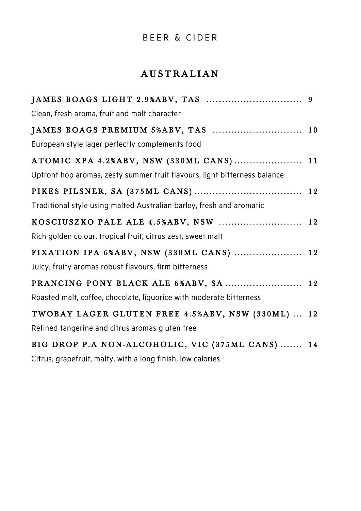## BEER & CIDER

# AUSTRALIAN

| Clean, fresh aroma, fruit and malt character                              |  |
|---------------------------------------------------------------------------|--|
| JAMES BOAGS PREMIUM 5%ABV, TAS  10                                        |  |
| European style lager perfectly complements food                           |  |
| ATOMIC XPA 4.2%ABV, NSW (330ML CANS) 11                                   |  |
| Upfront hop aromas, zesty summer fruit flavours, light bitterness balance |  |
|                                                                           |  |
| Traditional style using malted Australian barley, fresh and aromatic      |  |
| KOSCIUSZKO PALE ALE 4.5%ABV, NSW  12                                      |  |
| Rich golden colour, tropical fruit, citrus zest, sweet malt               |  |
| FIXATION IPA 6%ABV, NSW (330ML CANS)  12                                  |  |
| Juicy, fruity aromas robust flavours, firm bitterness                     |  |
| PRANCING PONY BLACK ALE 6%ABV, SA  12                                     |  |
| Roasted malt, coffee, chocolate, liquorice with moderate bitterness       |  |
| TWOBAY LAGER GLUTEN FREE 4.5%ABV, NSW (330ML)  12                         |  |
| Refined tangerine and citrus aromas gluten free                           |  |
| BIG DROP P.A NON-ALCOHOLIC, VIC (375ML CANS)  14                          |  |

Citrus, grapefruit, malty, with a long finish, low calories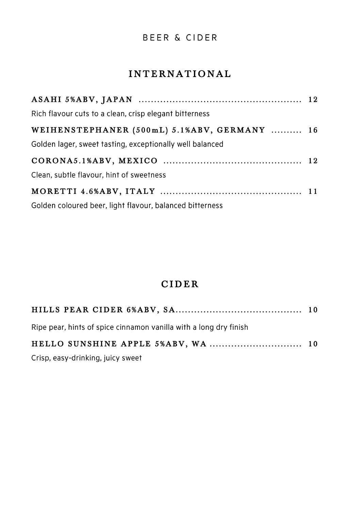#### BEER & CIDER

## INTERNATIONAL

| Rich flavour cuts to a clean, crisp elegant bitterness   |  |
|----------------------------------------------------------|--|
| WEIHENSTEPHANER (500mL) 5.1%ABV, GERMANY  16             |  |
| Golden lager, sweet tasting, exceptionally well balanced |  |
|                                                          |  |
| Clean, subtle flavour, hint of sweetness                 |  |
|                                                          |  |
| Golden coloured beer, light flavour, balanced bitterness |  |

# C I D E R

| Ripe pear, hints of spice cinnamon vanilla with a long dry finish |  |
|-------------------------------------------------------------------|--|
|                                                                   |  |

Crisp, easy-drinking, juicy sweet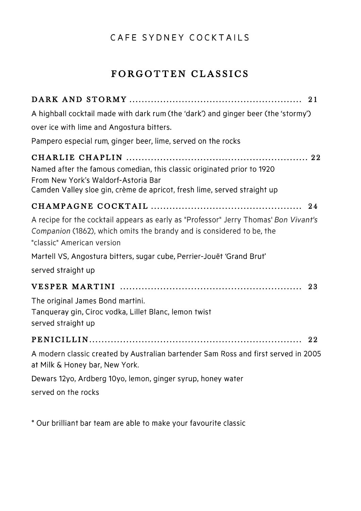## CAFE SYDNEY COCKTAILS

# FORGOTTEN CLASSICS

| A highball cocktail made with dark rum (the 'dark') and ginger beer (the 'stormy')<br>over ice with lime and Angostura bitters.                                                             |
|---------------------------------------------------------------------------------------------------------------------------------------------------------------------------------------------|
| Pampero especial rum, ginger beer, lime, served on the rocks                                                                                                                                |
| Named after the famous comedian, this classic originated prior to 1920<br>From New York's Waldorf-Astoria Bar<br>Camden Valley sloe gin, crème de apricot, fresh lime, served straight up   |
|                                                                                                                                                                                             |
| A recipe for the cocktail appears as early as "Professor" Jerry Thomas' Bon Vivant's<br>Companion (1862), which omits the brandy and is considered to be, the<br>"classic" American version |
| Martell VS, Angostura bitters, sugar cube, Perrier-Jouët 'Grand Brut'                                                                                                                       |
| served straight up                                                                                                                                                                          |
|                                                                                                                                                                                             |
| The original James Bond martini.<br>Tanqueray gin, Ciroc vodka, Lillet Blanc, lemon twist<br>served straight up                                                                             |
|                                                                                                                                                                                             |
| A modern classic created by Australian bartender Sam Ross and first served in 2005<br>at Milk & Honey bar, New York.                                                                        |
| Dewars 12yo, Ardberg 10yo, lemon, ginger syrup, honey water                                                                                                                                 |
| served on the rocks                                                                                                                                                                         |

\* Our brilliant bar team are able to make your favourite classic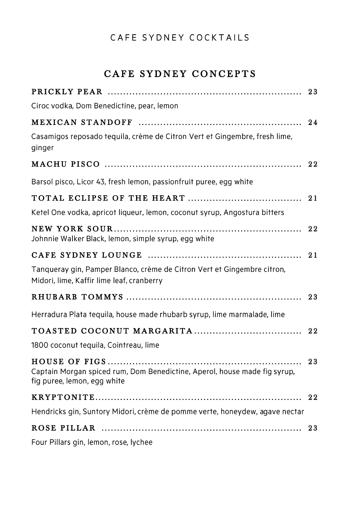## CAFE SYDNEY COCKTAILS

# CAFE SYDNEY CONCEPTS

|                                                                                                                      | 23 |
|----------------------------------------------------------------------------------------------------------------------|----|
| Ciroc vodka, Dom Benedictine, pear, lemon                                                                            |    |
|                                                                                                                      | 24 |
| Casamigos reposado tequila, crème de Citron Vert et Gingembre, fresh lime,<br>ginger                                 |    |
|                                                                                                                      | 22 |
| Barsol pisco, Licor 43, fresh lemon, passionfruit puree, egg white                                                   |    |
|                                                                                                                      | 21 |
| Ketel One vodka, apricot liqueur, lemon, coconut syrup, Angostura bitters                                            |    |
| Johnnie Walker Black, lemon, simple syrup, egg white                                                                 |    |
|                                                                                                                      | 21 |
| Tanqueray gin, Pamper Blanco, crème de Citron Vert et Gingembre citron,<br>Midori, lime, Kaffir lime leaf, cranberry |    |
|                                                                                                                      |    |
| Herradura Plata tequila, house made rhubarb syrup, lime marmalade, lime                                              |    |
|                                                                                                                      |    |
| 1800 coconut tequila, Cointreau, lime                                                                                |    |
| Captain Morgan spiced rum, Dom Benedictine, Aperol, house made fig syrup,<br>fig puree, lemon, egg white             | 23 |
|                                                                                                                      | 22 |
| Hendricks gin, Suntory Midori, crème de pomme verte, honeydew, agave nectar                                          |    |
|                                                                                                                      | 23 |
| Four Pillars gin, lemon, rose, lychee                                                                                |    |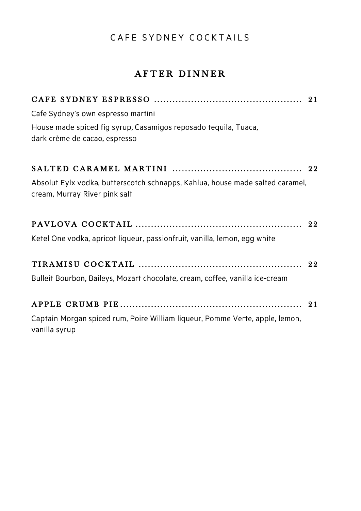# CAFE SYDNEY COCKTAILS

# AFTER DINNER

| Cafe Sydney's own espresso martini                                                                             |  |
|----------------------------------------------------------------------------------------------------------------|--|
| House made spiced fig syrup, Casamigos reposado tequila, Tuaca,                                                |  |
| dark crème de cacao, espresso                                                                                  |  |
|                                                                                                                |  |
| Absolut Eylx vodka, butterscotch schnapps, Kahlua, house made salted caramel,<br>cream, Murray River pink salt |  |
|                                                                                                                |  |
| Ketel One vodka, apricot liqueur, passionfruit, vanilla, lemon, egg white                                      |  |
|                                                                                                                |  |
| Bulleit Bourbon, Baileys, Mozart chocolate, cream, coffee, vanilla ice-cream                                   |  |
|                                                                                                                |  |
| Captain Morgan spiced rum, Poire William liqueur, Pomme Verte, apple, lemon,<br>vanilla syrup                  |  |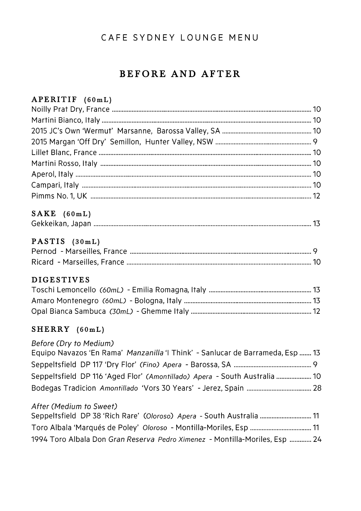## BEFORE AND AFTER

#### APERITIF (60mL)

#### $SAKE (60mL)$

|--|--|--|

#### PASTIS (30mL)

#### D I GESTIVES

#### $SHERRY (60mL)$

#### Before (Dry to Medium)

| Equipo Navazos 'En Rama' Manzanilla 'I Think' - Sanlucar de Barrameda, Esp  13 |  |
|--------------------------------------------------------------------------------|--|
|                                                                                |  |
| Seppeltsfield DP 116 'Aged Flor' (Amontillado) Apera - South Australia  10     |  |
|                                                                                |  |

#### After (Medium to Sweet)

| Seppeltsfield DP 38 'Rich Rare' (Oloroso) Apera - South Australia  11       |  |
|-----------------------------------------------------------------------------|--|
|                                                                             |  |
| 1994 Toro Albala Don Gran Reserva Pedro Ximenez - Montilla-Moriles, Esp  24 |  |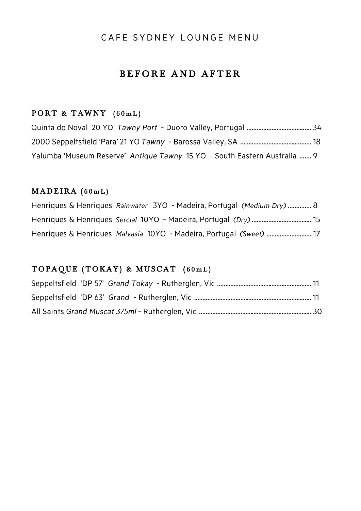## BEFORE AND AFTER

#### PORT & TAWNY  $(60mL)$

| Yalumba 'Museum Reserve' Antique Tawny 15 YO - South Eastern Australia  9 |  |
|---------------------------------------------------------------------------|--|

#### $$

| Henriques & Henriques Rainwater 3YO - Madeira, Portugal (Medium-Dry)  8 |  |
|-------------------------------------------------------------------------|--|
|                                                                         |  |
| Henriques & Henriques Malvasia 10YO - Madeira, Portugal (Sweet)  17     |  |

#### TOPAQUE (TOKAY) & MUSCAT (60mL)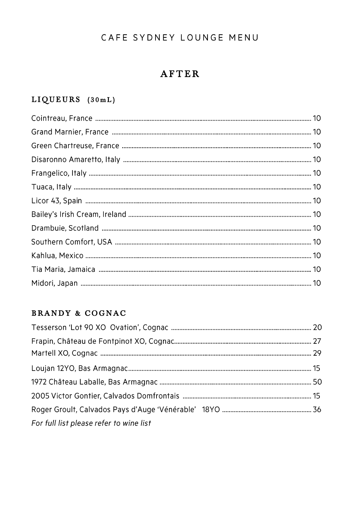# **AFTER**

## $LIQUEURS (30mL)$

#### BRANDY & COGNAC

| For full list please refer to wine list |  |
|-----------------------------------------|--|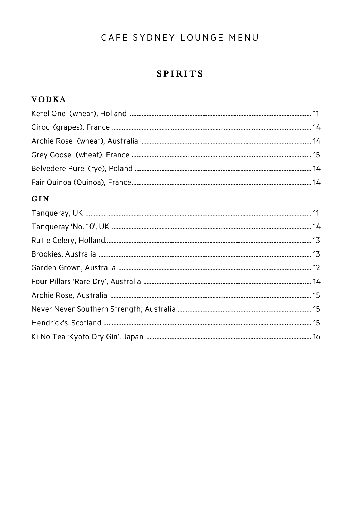## SPIRITS

## **VODKA**

#### GIN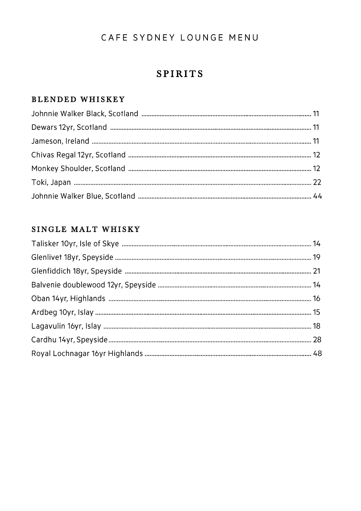## SPIRITS

## BLENDED WHISKEY

### SINGLE MALT WHISKY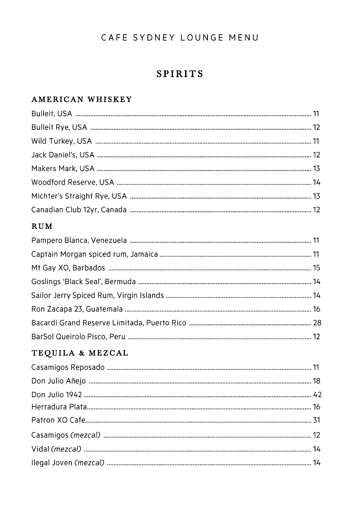# SPIRITS

## A MERICAN WHISKEY

#### R U M

## TEQUILA & MEZCAL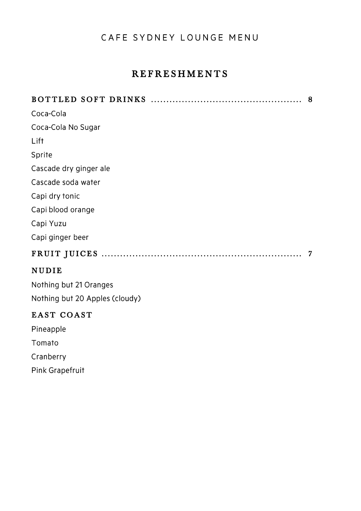## REFRESHMENTS

|                        | 8 |
|------------------------|---|
| Coca-Cola              |   |
| Coca-Cola No Sugar     |   |
| Lift                   |   |
| Sprite                 |   |
| Cascade dry ginger ale |   |
| Cascade soda water     |   |
| Capi dry tonic         |   |
| Capi blood orange      |   |
| Capi Yuzu              |   |
| Capi ginger beer       |   |
|                        |   |
| <b>NUDIE</b>           |   |
| Nothing but 21 Oranges |   |

Nothing but 20 Apples (cloudy)

#### EAST COAST

Pineapple Tomato Cranberry Pink Grapefruit